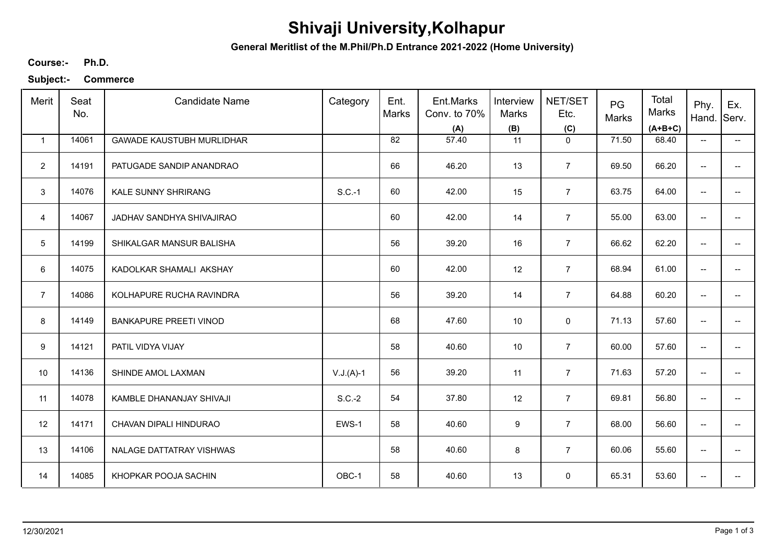## **Shivaji University,Kolhapur**

**General Meritlist of the M.Phil/Ph.D Entrance 2021-2022 (Home University)**

**Ph.D. Course:-**

**Subject:- Commerce**

| Merit                   | Seat<br>No. | <b>Candidate Name</b>            | Category    | Ent.<br>Marks | Ent.Marks<br>Conv. to 70%<br>(A) | Interview<br><b>Marks</b><br>(B) | NET/SET<br>Etc.<br>(C) | PG<br>Marks | Total<br>Marks<br>$(A+B+C)$ | Phy.<br>Hand.            | Ex.<br>Serv.             |
|-------------------------|-------------|----------------------------------|-------------|---------------|----------------------------------|----------------------------------|------------------------|-------------|-----------------------------|--------------------------|--------------------------|
| $\mathbf{1}$            | 14061       | <b>GAWADE KAUSTUBH MURLIDHAR</b> |             | 82            | 57.40                            | 11                               | $\mathbf 0$            | 71.50       | 68.40                       | $\overline{\phantom{a}}$ | $\overline{\phantom{a}}$ |
| $\overline{2}$          | 14191       | PATUGADE SANDIP ANANDRAO         |             | 66            | 46.20                            | 13                               | $\overline{7}$         | 69.50       | 66.20                       | $\overline{\phantom{a}}$ |                          |
| 3                       | 14076       | <b>KALE SUNNY SHRIRANG</b>       | $S.C.-1$    | 60            | 42.00                            | 15                               | $\overline{7}$         | 63.75       | 64.00                       | --                       |                          |
| $\overline{\mathbf{4}}$ | 14067       | JADHAV SANDHYA SHIVAJIRAO        |             | 60            | 42.00                            | 14                               | $\overline{7}$         | 55.00       | 63.00                       | $\overline{\phantom{a}}$ | --                       |
| $5\phantom{.0}$         | 14199       | SHIKALGAR MANSUR BALISHA         |             | 56            | 39.20                            | 16                               | $\overline{7}$         | 66.62       | 62.20                       | $\overline{\phantom{a}}$ |                          |
| 6                       | 14075       | KADOLKAR SHAMALI AKSHAY          |             | 60            | 42.00                            | 12                               | $\overline{7}$         | 68.94       | 61.00                       | $\overline{\phantom{a}}$ | --                       |
| $\overline{7}$          | 14086       | KOLHAPURE RUCHA RAVINDRA         |             | 56            | 39.20                            | 14                               | $\overline{7}$         | 64.88       | 60.20                       | $\overline{\phantom{a}}$ |                          |
| 8                       | 14149       | <b>BANKAPURE PREETI VINOD</b>    |             | 68            | 47.60                            | 10                               | 0                      | 71.13       | 57.60                       | $\overline{\phantom{a}}$ |                          |
| 9                       | 14121       | PATIL VIDYA VIJAY                |             | 58            | 40.60                            | 10                               | $\overline{7}$         | 60.00       | 57.60                       | $\overline{\phantom{a}}$ |                          |
| 10                      | 14136       | SHINDE AMOL LAXMAN               | $V.J.(A)-1$ | 56            | 39.20                            | 11                               | $\overline{7}$         | 71.63       | 57.20                       | $-$                      |                          |
| 11                      | 14078       | KAMBLE DHANANJAY SHIVAJI         | $S.C.-2$    | 54            | 37.80                            | 12                               | $\overline{7}$         | 69.81       | 56.80                       | $\overline{\phantom{a}}$ | --                       |
| 12                      | 14171       | CHAVAN DIPALI HINDURAO           | EWS-1       | 58            | 40.60                            | $\boldsymbol{9}$                 | $\overline{7}$         | 68.00       | 56.60                       | $\overline{\phantom{a}}$ | $\overline{\phantom{0}}$ |
| 13                      | 14106       | NALAGE DATTATRAY VISHWAS         |             | 58            | 40.60                            | 8                                | $\overline{7}$         | 60.06       | 55.60                       | $\overline{\phantom{a}}$ | --                       |
| 14                      | 14085       | KHOPKAR POOJA SACHIN             | OBC-1       | 58            | 40.60                            | 13                               | 0                      | 65.31       | 53.60                       | $\overline{\phantom{a}}$ |                          |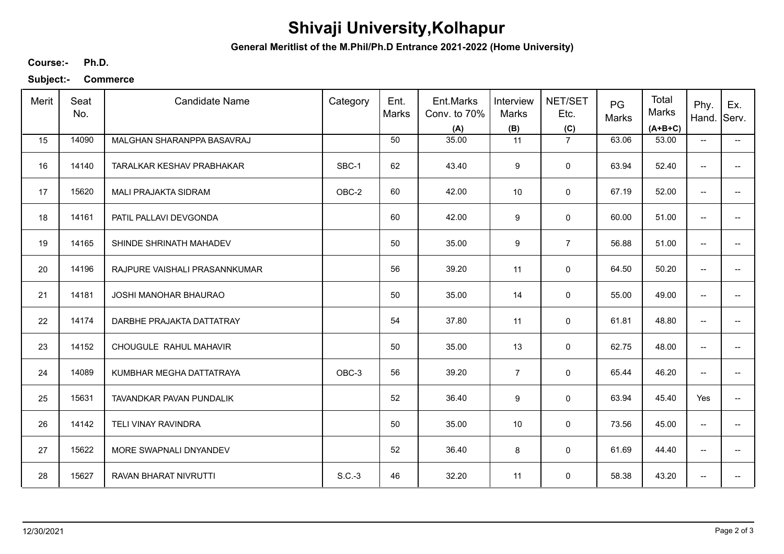## **Shivaji University,Kolhapur**

**General Meritlist of the M.Phil/Ph.D Entrance 2021-2022 (Home University)**

**Ph.D. Course:-**

**Subject:- Commerce**

| Merit | Seat<br>No. | <b>Candidate Name</b>         | Category | Ent.<br>Marks | Ent.Marks<br>Conv. to 70%<br>(A) | Interview<br>Marks<br>(B) | NET/SET<br>Etc.<br>(C) | PG<br>Marks | Total<br>Marks<br>$(A+B+C)$ | Phy.<br>Hand.            | Ex.<br>Serv.             |
|-------|-------------|-------------------------------|----------|---------------|----------------------------------|---------------------------|------------------------|-------------|-----------------------------|--------------------------|--------------------------|
| 15    | 14090       | MALGHAN SHARANPPA BASAVRAJ    |          | 50            | 35.00                            | 11                        | $\overline{7}$         | 63.06       | 53.00                       | $\overline{\phantom{a}}$ | $\overline{\phantom{a}}$ |
| 16    | 14140       | TARALKAR KESHAV PRABHAKAR     | SBC-1    | 62            | 43.40                            | 9                         | 0                      | 63.94       | 52.40                       | $\overline{\phantom{a}}$ | $\overline{\phantom{0}}$ |
| 17    | 15620       | <b>MALI PRAJAKTA SIDRAM</b>   | OBC-2    | 60            | 42.00                            | 10                        | 0                      | 67.19       | 52.00                       | $\overline{\phantom{a}}$ | --                       |
| 18    | 14161       | PATIL PALLAVI DEVGONDA        |          | 60            | 42.00                            | 9                         | 0                      | 60.00       | 51.00                       | $\overline{a}$           | --                       |
| 19    | 14165       | SHINDE SHRINATH MAHADEV       |          | 50            | 35.00                            | $\boldsymbol{9}$          | $\overline{7}$         | 56.88       | 51.00                       | $\overline{\phantom{a}}$ | $\qquad \qquad -$        |
| 20    | 14196       | RAJPURE VAISHALI PRASANNKUMAR |          | 56            | 39.20                            | 11                        | 0                      | 64.50       | 50.20                       | $\overline{\phantom{a}}$ | $\overline{\phantom{0}}$ |
| 21    | 14181       | JOSHI MANOHAR BHAURAO         |          | 50            | 35.00                            | 14                        | 0                      | 55.00       | 49.00                       | $\overline{\phantom{a}}$ | --                       |
| 22    | 14174       | DARBHE PRAJAKTA DATTATRAY     |          | 54            | 37.80                            | 11                        | 0                      | 61.81       | 48.80                       | --                       |                          |
| 23    | 14152       | CHOUGULE RAHUL MAHAVIR        |          | 50            | 35.00                            | 13                        | $\mathbf 0$            | 62.75       | 48.00                       | $\overline{\phantom{a}}$ |                          |
| 24    | 14089       | KUMBHAR MEGHA DATTATRAYA      | OBC-3    | 56            | 39.20                            | $\overline{7}$            | $\mathbf 0$            | 65.44       | 46.20                       | --                       |                          |
| 25    | 15631       | TAVANDKAR PAVAN PUNDALIK      |          | 52            | 36.40                            | 9                         | 0                      | 63.94       | 45.40                       | Yes                      | $\overline{\phantom{a}}$ |
| 26    | 14142       | <b>TELI VINAY RAVINDRA</b>    |          | 50            | 35.00                            | 10                        | 0                      | 73.56       | 45.00                       | $\overline{\phantom{a}}$ | $\overline{\phantom{0}}$ |
| 27    | 15622       | MORE SWAPNALI DNYANDEV        |          | 52            | 36.40                            | 8                         | $\mathbf 0$            | 61.69       | 44.40                       | $\overline{\phantom{a}}$ | $\overline{\phantom{a}}$ |
| 28    | 15627       | RAVAN BHARAT NIVRUTTI         | $S.C.-3$ | 46            | 32.20                            | 11                        | 0                      | 58.38       | 43.20                       | $\overline{\phantom{a}}$ |                          |